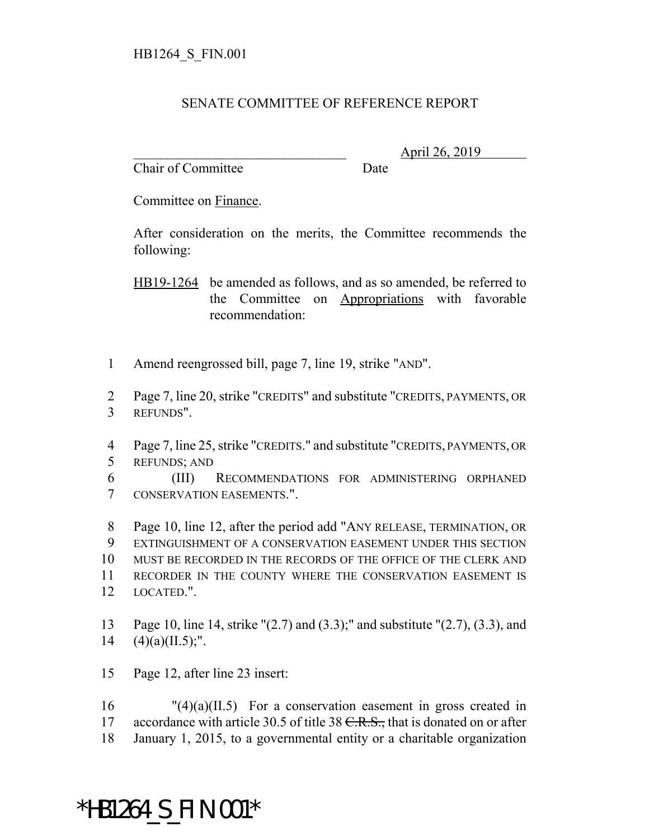## SENATE COMMITTEE OF REFERENCE REPORT

Chair of Committee Date

\_\_\_\_\_\_\_\_\_\_\_\_\_\_\_\_\_\_\_\_\_\_\_\_\_\_\_\_\_\_\_ April 26, 2019

Committee on Finance.

After consideration on the merits, the Committee recommends the following:

HB19-1264 be amended as follows, and as so amended, be referred to the Committee on Appropriations with favorable recommendation:

- 1 Amend reengrossed bill, page 7, line 19, strike "AND".
- 2 Page 7, line 20, strike "CREDITS" and substitute "CREDITS, PAYMENTS, OR 3 REFUNDS".
- 4 Page 7, line 25, strike "CREDITS." and substitute "CREDITS, PAYMENTS, OR 5 REFUNDS; AND
- 6 (III) RECOMMENDATIONS FOR ADMINISTERING ORPHANED 7 CONSERVATION EASEMENTS.".
- 8 Page 10, line 12, after the period add "ANY RELEASE, TERMINATION, OR 9 EXTINGUISHMENT OF A CONSERVATION EASEMENT UNDER THIS SECTION 10 MUST BE RECORDED IN THE RECORDS OF THE OFFICE OF THE CLERK AND 11 RECORDER IN THE COUNTY WHERE THE CONSERVATION EASEMENT IS 12 LOCATED.".
- 13 Page 10, line 14, strike "(2.7) and (3.3);" and substitute "(2.7), (3.3), and 14  $(4)(a)(II.5)$ ;".
- 15 Page 12, after line 23 insert:

 $16$  "(4)(a)(II.5) For a conservation easement in gross created in 17 accordance with article 30.5 of title 38 <del>C.R.S.,</del> that is donated on or after 18 January 1, 2015, to a governmental entity or a charitable organization

## \*HB1264\_S\_FIN.001\*